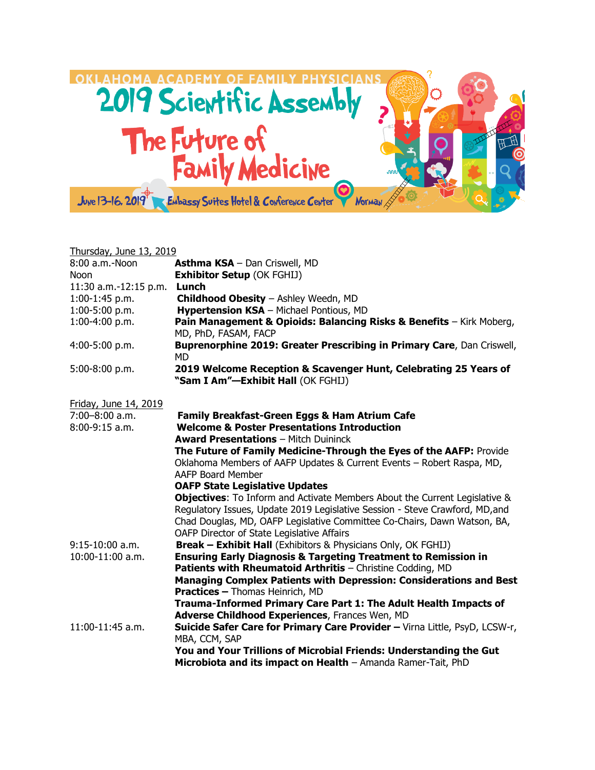

| Thursday, June 13, 2019 |                                                                                                                                                                                                                                                                                      |
|-------------------------|--------------------------------------------------------------------------------------------------------------------------------------------------------------------------------------------------------------------------------------------------------------------------------------|
| 8:00 a.m.-Noon          | <b>Asthma KSA</b> - Dan Criswell, MD                                                                                                                                                                                                                                                 |
| <b>Noon</b>             | <b>Exhibitor Setup (OK FGHIJ)</b>                                                                                                                                                                                                                                                    |
| 11:30 a.m.-12:15 p.m.   | Lunch                                                                                                                                                                                                                                                                                |
| $1:00-1:45$ p.m.        | Childhood Obesity - Ashley Weedn, MD                                                                                                                                                                                                                                                 |
| 1:00-5:00 p.m.          | Hypertension KSA - Michael Pontious, MD                                                                                                                                                                                                                                              |
| 1:00-4:00 p.m.          | Pain Management & Opioids: Balancing Risks & Benefits - Kirk Moberg,<br>MD, PhD, FASAM, FACP                                                                                                                                                                                         |
| 4:00-5:00 p.m.          | Buprenorphine 2019: Greater Prescribing in Primary Care, Dan Criswell,<br><b>MD</b>                                                                                                                                                                                                  |
| 5:00-8:00 p.m.          | 2019 Welcome Reception & Scavenger Hunt, Celebrating 25 Years of<br>"Sam I Am"-Exhibit Hall (OK FGHIJ)                                                                                                                                                                               |
| Friday, June 14, 2019   |                                                                                                                                                                                                                                                                                      |
| $7:00 - 8:00$ a.m.      | Family Breakfast-Green Eggs & Ham Atrium Cafe                                                                                                                                                                                                                                        |
| $8:00-9:15$ a.m.        | <b>Welcome &amp; Poster Presentations Introduction</b>                                                                                                                                                                                                                               |
|                         | <b>Award Presentations - Mitch Duininck</b>                                                                                                                                                                                                                                          |
|                         | The Future of Family Medicine-Through the Eyes of the AAFP: Provide                                                                                                                                                                                                                  |
|                         | Oklahoma Members of AAFP Updates & Current Events - Robert Raspa, MD,<br>AAFP Board Member                                                                                                                                                                                           |
|                         | <b>OAFP State Legislative Updates</b>                                                                                                                                                                                                                                                |
|                         | Objectives: To Inform and Activate Members About the Current Legislative &<br>Regulatory Issues, Update 2019 Legislative Session - Steve Crawford, MD, and<br>Chad Douglas, MD, OAFP Legislative Committee Co-Chairs, Dawn Watson, BA,<br>OAFP Director of State Legislative Affairs |
| $9:15-10:00$ a.m.       | <b>Break - Exhibit Hall</b> (Exhibitors & Physicians Only, OK FGHIJ)                                                                                                                                                                                                                 |
| 10:00-11:00 a.m.        | <b>Ensuring Early Diagnosis &amp; Targeting Treatment to Remission in</b>                                                                                                                                                                                                            |
|                         | Patients with Rheumatoid Arthritis - Christine Codding, MD                                                                                                                                                                                                                           |
|                         | <b>Managing Complex Patients with Depression: Considerations and Best</b>                                                                                                                                                                                                            |
|                         | <b>Practices - Thomas Heinrich, MD</b>                                                                                                                                                                                                                                               |
|                         | Trauma-Informed Primary Care Part 1: The Adult Health Impacts of                                                                                                                                                                                                                     |
|                         | Adverse Childhood Experiences, Frances Wen, MD                                                                                                                                                                                                                                       |
| 11:00-11:45 a.m.        | Suicide Safer Care for Primary Care Provider - Virna Little, PsyD, LCSW-r,<br>MBA, CCM, SAP                                                                                                                                                                                          |
|                         | You and Your Trillions of Microbial Friends: Understanding the Gut                                                                                                                                                                                                                   |
|                         | Microbiota and its impact on Health - Amanda Ramer-Tait, PhD                                                                                                                                                                                                                         |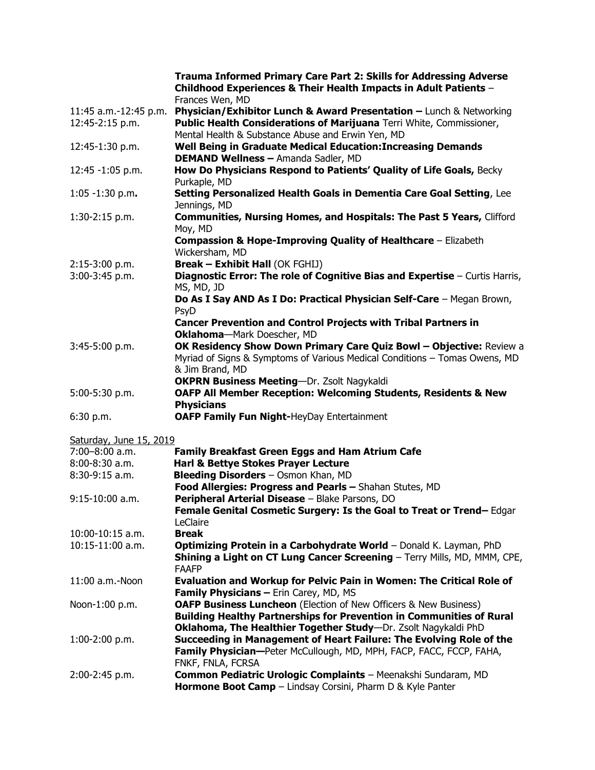|                         | <b>Trauma Informed Primary Care Part 2: Skills for Addressing Adverse</b><br>Childhood Experiences & Their Health Impacts in Adult Patients -<br>Frances Wen, MD |
|-------------------------|------------------------------------------------------------------------------------------------------------------------------------------------------------------|
|                         | 11:45 a.m.-12:45 p.m. Physician/Exhibitor Lunch & Award Presentation - Lunch & Networking                                                                        |
| 12:45-2:15 p.m.         | Public Health Considerations of Marijuana Terri White, Commissioner,                                                                                             |
|                         | Mental Health & Substance Abuse and Erwin Yen, MD                                                                                                                |
| 12:45-1:30 p.m.         | Well Being in Graduate Medical Education: Increasing Demands                                                                                                     |
|                         | <b>DEMAND Wellness - Amanda Sadler, MD</b>                                                                                                                       |
| 12:45 -1:05 p.m.        | How Do Physicians Respond to Patients' Quality of Life Goals, Becky<br>Purkaple, MD                                                                              |
| $1:05 - 1:30$ p.m.      | Setting Personalized Health Goals in Dementia Care Goal Setting, Lee<br>Jennings, MD                                                                             |
| $1:30-2:15$ p.m.        | Communities, Nursing Homes, and Hospitals: The Past 5 Years, Clifford                                                                                            |
|                         | Moy, MD                                                                                                                                                          |
|                         | <b>Compassion &amp; Hope-Improving Quality of Healthcare</b> - Elizabeth                                                                                         |
|                         | Wickersham, MD                                                                                                                                                   |
| 2:15-3:00 p.m.          | <b>Break - Exhibit Hall (OK FGHIJ)</b>                                                                                                                           |
| 3:00-3:45 p.m.          | Diagnostic Error: The role of Cognitive Bias and Expertise - Curtis Harris,<br>MS, MD, JD                                                                        |
|                         | Do As I Say AND As I Do: Practical Physician Self-Care - Megan Brown,<br>PsyD                                                                                    |
|                         | Cancer Prevention and Control Projects with Tribal Partners in                                                                                                   |
|                         | Oklahoma-Mark Doescher, MD                                                                                                                                       |
| $3:45-5:00 p.m.$        | OK Residency Show Down Primary Care Quiz Bowl - Objective: Review a                                                                                              |
|                         | Myriad of Signs & Symptoms of Various Medical Conditions - Tomas Owens, MD<br>& Jim Brand, MD                                                                    |
|                         | <b>OKPRN Business Meeting-Dr. Zsolt Nagykaldi</b>                                                                                                                |
| 5:00-5:30 p.m.          | <b>OAFP All Member Reception: Welcoming Students, Residents &amp; New</b><br><b>Physicians</b>                                                                   |
| 6:30 p.m.               | <b>OAFP Family Fun Night-HeyDay Entertainment</b>                                                                                                                |
|                         |                                                                                                                                                                  |
| Saturday, June 15, 2019 |                                                                                                                                                                  |
| $7:00 - 8:00$ a.m.      | <b>Family Breakfast Green Eggs and Ham Atrium Cafe</b>                                                                                                           |
| 8:00-8:30 a.m.          | Harl & Bettye Stokes Prayer Lecture                                                                                                                              |
| 8:30-9:15 a.m.          | Bleeding Disorders - Osmon Khan, MD                                                                                                                              |
|                         | Food Allergies: Progress and Pearls - Shahan Stutes, MD                                                                                                          |
| $9:15-10:00$ a.m.       | Peripheral Arterial Disease - Blake Parsons, DO                                                                                                                  |
|                         | Female Genital Cosmetic Surgery: Is the Goal to Treat or Trend-Edgar<br>LeClaire                                                                                 |
| 10:00-10:15 a.m.        | <b>Break</b>                                                                                                                                                     |
| 10:15-11:00 a.m.        | Optimizing Protein in a Carbohydrate World - Donald K. Layman, PhD                                                                                               |
|                         | Shining a Light on CT Lung Cancer Screening - Terry Mills, MD, MMM, CPE,<br><b>FAAFP</b>                                                                         |
| 11:00 a.m.-Noon         | Evaluation and Workup for Pelvic Pain in Women: The Critical Role of<br>Family Physicians - Erin Carey, MD, MS                                                   |
| Noon-1:00 p.m.          | OAFP Business Luncheon (Election of New Officers & New Business)                                                                                                 |
|                         | <b>Building Healthy Partnerships for Prevention in Communities of Rural</b>                                                                                      |
| $1:00-2:00$ p.m.        | Oklahoma, The Healthier Together Study-Dr. Zsolt Nagykaldi PhD<br>Succeeding in Management of Heart Failure: The Evolving Role of the                            |
|                         | Family Physician-Peter McCullough, MD, MPH, FACP, FACC, FCCP, FAHA,                                                                                              |
|                         | FNKF, FNLA, FCRSA                                                                                                                                                |
| 2:00-2:45 p.m.          | Common Pediatric Urologic Complaints - Meenakshi Sundaram, MD<br>Hormone Boot Camp - Lindsay Corsini, Pharm D & Kyle Panter                                      |
|                         |                                                                                                                                                                  |